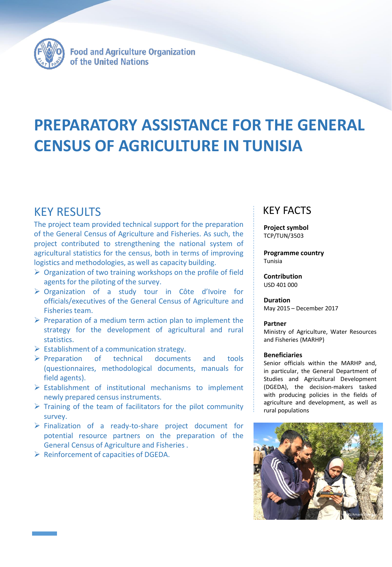

# **PREPARATORY ASSISTANCE FOR THE GENERAL CENSUS OF AGRICULTURE IN TUNISIA**

### KEY RESULTS

The project team provided technical support for the preparation of the General Census of Agriculture and Fisheries. As such, the project contributed to strengthening the national system of agricultural statistics for the census, both in terms of improving logistics and methodologies, as well as capacity building.

- $\triangleright$  Organization of two training workshops on the profile of field agents for the piloting of the survey.
- Organization of a study tour in Côte d'Ivoire for officials/executives of the General Census of Agriculture and Fisheries team.
- $\triangleright$  Preparation of a medium term action plan to implement the strategy for the development of agricultural and rural statistics.
- $\triangleright$  Establishment of a communication strategy.
- $\triangleright$  Preparation of technical documents and tools (questionnaires, methodological documents, manuals for field agents).
- $\triangleright$  Establishment of institutional mechanisms to implement newly prepared census instruments.
- $\triangleright$  Training of the team of facilitators for the pilot community survey.
- $\triangleright$  Finalization of a ready-to-share project document for potential resource partners on the preparation of the General Census of Agriculture and Fisheries .
- $\triangleright$  Reinforcement of capacities of DGEDA.

### KEY FACTS

**Project symbol** TCP/TUN/3503

**Programme country** Tunisia

**Contribution** USD 401 000

**Duration** May 2015 – December 2017

**Partner** Ministry of Agriculture, Water Resources and Fisheries (MARHP)

#### **Beneficiaries**

Senior officials within the MARHP and, in particular, the General Department of Studies and Agricultural Development (DGEDA), the decision-makers tasked with producing policies in the fields of agriculture and development, as well as rural populations